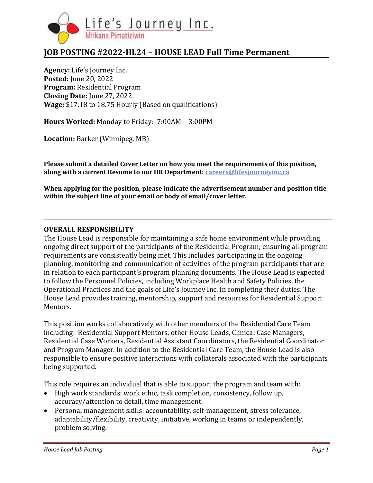

# **JOB POSTING #2022-HL24 – HOUSE LEAD Full Time Permanent**

**Agency:** Life's Journey Inc. **Posted:** June 20, 2022 **Program:** Residential Program **Closing Date:** June 27, 2022 **Wage:** \$17.18 to 18.75 Hourly (Based on qualifications)

**Hours Worked:** Monday to Friday: 7:00AM – 3:00PM

**Location:** Barker (Winnipeg, MB)

**Please submit a detailed Cover Letter on how you meet the requirements of this position, along with a current Resume to our HR Department: [careers@lifesjourneyinc.ca](mailto:careers@lifesjourneyinc.ca)**

**When applying for the position, please indicate the advertisement number and position title within the subject line of your email or body of email/cover letter.**

#### **OVERALL RESPONSIBILITY**

The House Lead is responsible for maintaining a safe home environment while providing ongoing direct support of the participants of the Residential Program; ensuring all program requirements are consistently being met. This includes participating in the ongoing planning, monitoring and communication of activities of the program participants that are in relation to each participant's program planning documents. The House Lead is expected to follow the Personnel Policies, including Workplace Health and Safety Policies, the Operational Practices and the goals of Life's Journey Inc. in completing their duties. The House Lead provides training, mentorship, support and resources for Residential Support Mentors.

This position works collaboratively with other members of the Residential Care Team including: Residential Support Mentors, other House Leads, Clinical Case Managers, Residential Case Workers, Residential Assistant Coordinators, the Residential Coordinator and Program Manager. In addition to the Residential Care Team, the House Lead is also responsible to ensure positive interactions with collaterals associated with the participants being supported.

This role requires an individual that is able to support the program and team with:

- High work standards: work ethic, task completion, consistency, follow up, accuracy/attention to detail, time management.
- Personal management skills: accountability, self-management, stress tolerance, adaptability/flexibility, creativity, initiative, working in teams or independently, problem solving.